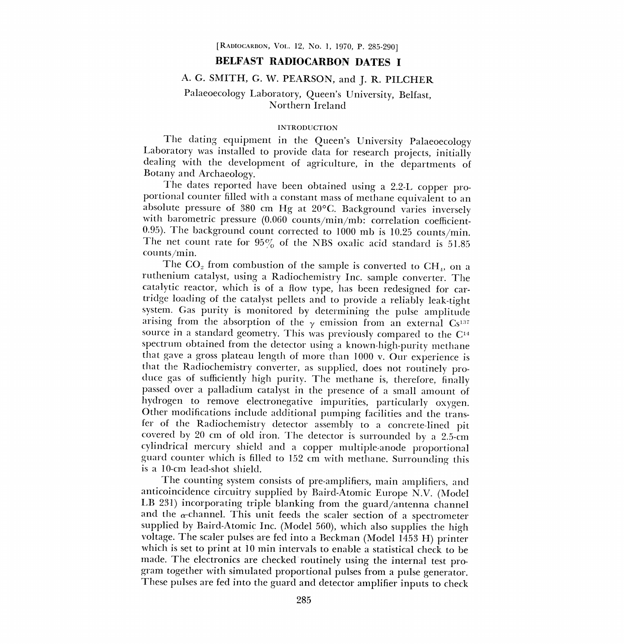# BELFAST RADIOCARBON DATES I

# A. G. SMITH, G. W. PEARSON, and J. R. PILCHER

# Palaeoecology Laboratory, Queen's University, Belfast, Northern Ireland

### INTRODUCTION

The dating equipment in the Queen's University Palaeoecology Laboratory was installed to provide data for research projects, initially dealing with the development of agriculture, in the departments of Botany and Archaeology.<br>The dates reported have been obtained using a 2.2-L copper pro-

portional counter filled with a constant mass of methane equivalent to an absolute pressure of 380 cm Hg at 20°C. Background varies inversely with barometric pressure (0.060 counts/min/mb: correlation coefficient-0.95). The background count corrected to 1000 mb is 10.25 counts/min. The net count rate for  $95\%$  of the NBS oxalic acid standard is 51.85 counts /min.

The  $CO<sub>2</sub>$  from combustion of the sample is converted to  $CH<sub>4</sub>$ , on a ruthenium catalyst, using a Radiochemistry Inc. sample converter. The catalytic reactor, which is of a flow type, has been redesigned for cartridge loading of the catalyst pellets and to provide a reliably leak-tight system. Gas purity is monitored by determining the pulse amplitude arising from the absorption of the  $\gamma$  emission from an external Cs<sup>137</sup> source in a standard geometry. This was previously compared to the  $C<sup>14</sup>$ spectrum obtained from the detector using a known-high-purity methane that gave a gross plateau length of more than 1000 v. Our experience is that the Radiochemistry converter, as supplied, does not routinely produce gas of sufficiently high purity. The methane is, therefore, finally passed over a palladium catalyst in the presence of a small amount of hydrogen to remove electronegative impurities, particularly oxygen.<br>Other modifications include additional pumping facilities and the trans-<br>fer of the Radiochemistry detector assembly to a concrete-lined pit fer covered by 20 cm of old iron. The detector is surrounded by a 2.5-cm cylindrical mercury shield and a copper multiple-anode proportional guard counter which is filled to 152 cm with methane. Surrounding this is a 10-cm lead-shot shield.

The counting system consists of pre-amplifiers, main amplifiers, and anticoincidence circuitry supplied by Baird-Atomic Europe N.V. (Model LB 231) incorporating triple blanking from the guard/antenna channel and the  $\alpha$ -channel. This unit feeds the scaler section of a spectrometer<br>supplied by Baird-Atomic Inc. (Model 560), which also supplies the high<br>voltage. The scaler pulses are fed into a Beckman (Model 1453 H) printer<br>w made. The electronics are checked routinely using the internal test program together with simulated proportional pulses from a pulse generator. These pulses are fed into the guard and detector amplifier inputs to check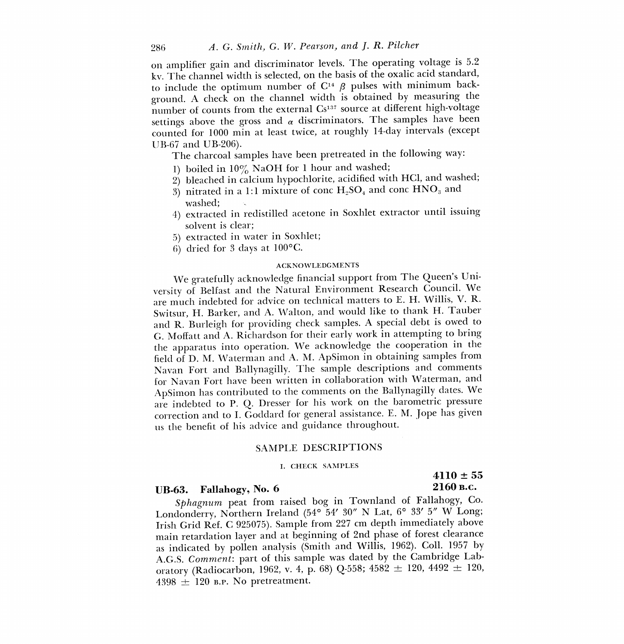on amplifier gain and discriminator levels. The operating voltage is 5.2 kv. The channel width is selected, on the basis of the oxalic acid standard, to include the optimum number of  $C^{14}$   $\beta$  pulses with minimum background. A check on the channel width is obtained by measuring the number of counts from the external Cs<sup>137</sup> source at different high-voltage settings above the gross and  $\alpha$  discriminators. The samples have been counted for 1000 min at least twice, at roughly 14-day intervals (except UB-67 and UB-206).

The charcoal samples have been pretreated in the following way:

- 1) boiled in  $10\%$  NaOH for 1 hour and washed;
- 2) bleached in calcium hypochlorite, acidified with HC1, and washed;
- 3) nitrated in a 1:1 mixture of conc  $H_2SO_4$  and conc  $HNO_3$  and washed;
- 4) extracted in redistilled acetone in Soxhlet extractor until issuing solvent is clear;
- 5) extracted in water in Soxhlet;
- 6) dried for 3 days at 100°C.

### ACKNOWLEDGMENTS

We gratefully acknowledge financial support from The Queen's University of Belfast and the Natural Environment Research Council. We are much indebted for advice on technical matters to E. H. Willis, V. R. Switsur, H. Barker, and A. Walton, and would like to thank H. Tauber and R. Burleigh for providing check samples. A special debt is owed to G. Moffatt and A. Richardson for their early work in attempting to bring the apparatus into operation. We acknowledge the cooperation in the field of D. M. Waterman and A. M. ApSimon in obtaining samples from Navan Fort and Ballynagilly. The sample descriptions and comments for Navan Fort have been written in collaboration with Waterman, and ApSimon has contributed to the comments on the Ballynagilly dates. We are indebted to P. Q. Dresser for his work on the barometric pressure correction and to I. Goddard for general assistance. E. M. Jope has given us the benefit of his advice and guidance throughout.

### SAMPLE DESCRIPTIONS

#### I. CHECK SAMPLES

# UB-63. Fallahogy, No. 6 2160 B.C.

# $4110 \pm 55$

Sphagnum peat from raised bog in Townland of Fallahogy, Co. Londonderry, Northern Ireland (54° 54' 30" N Lat, 6° 33' 5" W Long; Irish Grid Ref. C 925075). Sample from 227 cm depth immediately above main retardation layer and at beginning of 2nd phase of forest clearance as indicated by pollen analysis (Smith and Willis, 1962). Coll. 1957 by A.G.S. Comment: part of this sample was dated by the Cambridge Laboratory (Radiocarbon, 1962, v. 4, p. 68) Q-558; 4582  $\pm$  120, 4492  $\pm$  120,  $4398 \pm 120$  B.P. No pretreatment.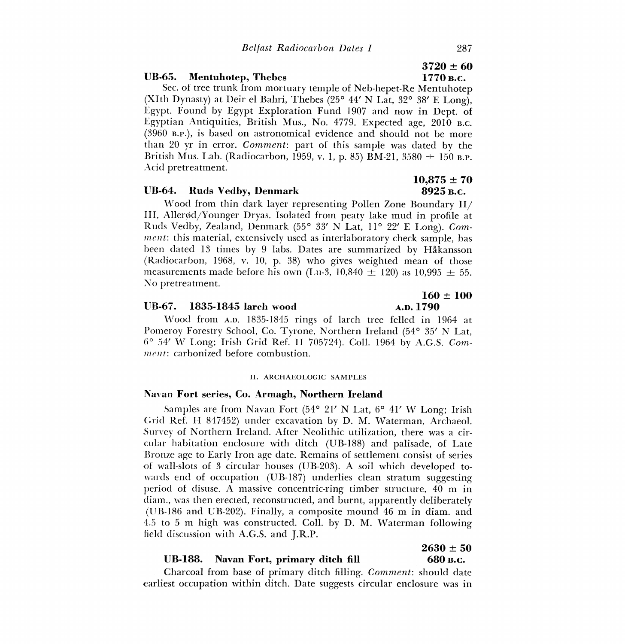### UB-65. Mentuhotep, Thebes 1770 B.C.

Sec. of tree trunk from mortuary temple of Neb-hepet-Re Mentuhotep (XIth Dynasty) at Deir el Bahri, Thebes (25° 44' N Lat, 32° 38' E Long), Egypt. Found by Egypt Exploration Fund 1907 and now in Dept. of Egyptian Antiquities, British Mus., No. 4779. Expected age, 2010 B.C. (3960 B.P.), is based on astronomical evidence and should not be more than 20 yr in error. Comment: part of this sample was dated by the British Mus. Lab. (Radiocarbon, 1959, v. 1, p. 85) BM-21, 3580  $\pm$  150 B.P. Acid pretreatment.

### UB-64. Ruds Vedby, Denmark 8925 B.C.

Wood from thin dark layer representing Pollen Zone Boundary  $II/$ III, Aller $\phi$ d/Younger Dryas. Isolated from peaty lake mud in profile at Ruds Vedby, Zealand, Denmark (55° 33' N Lat, 11° 22' E Long). Comment: this material, extensively used as interlaboratory check sample, has been dated 13 times by 9 labs. Dates are summarized by Hakansson (Radiocarbon, 1968, v. 10, p. 38) who gives weighted mean of those measurements made before his own (Lu-3, 10,840  $\pm$  120) as 10,995  $\pm$  55. No pretreatment.

### UB-67. 1835-1845 larch wood

Wood from A.D. 1835-1845 rings of larch tree felled in 1964 at Pomeroy Forestry School, Co. Tyrone, Northern Ireland (54° 35' N Lat,  $6^{\circ}$  54' W Long; Irish Grid Ref. H 705724). Coll. 1964 by A.G.S. Comment: carbonized before combustion.

### II. ARCHAEOLOGIC SAMPLES

### Navan Fort series, Co. Armagh, Northern Ireland

Samples are from Navan Fort (54° 21' N Lat, 6° 41' W Long; Irish Grid Ref. H 847452) under excavation by D. M. Waterman, Archaeol. Survey of Northern Ireland. After Neolithic utilization, there was a circular habitation enclosure with ditch (UB-188) and palisade, of Late Bronze age to Early Iron age date. Remains of settlement consist of series of wall-slots of 3 circular houses (UB-203). A soil which developed towards end of occupation (UB-187) underlies clean stratum suggesting period of disuse. A massive concentric-ring timber structure, 40 m in diam., was then erected, reconstructed, and burnt, apparently deliberately (UB-186 and UB-202). Finally, a composite mound 46 m in diam, and 4.5 to 5 m high was constructed. Coll, by D. M. Waterman following field discussion with A.G.S. and J.R.P.

### UB-188. Navan Fort, primary ditch fill 680 B.C.

## Charcoal from base of primary ditch filling. Comment: should date earliest occupation within ditch. Date suggests circular enclosure was in

# $3720 \pm 60$

# $10.875 \pm 70$

 $160 \pm 100$ <br>A.D. 1790

 $2630 \pm 50$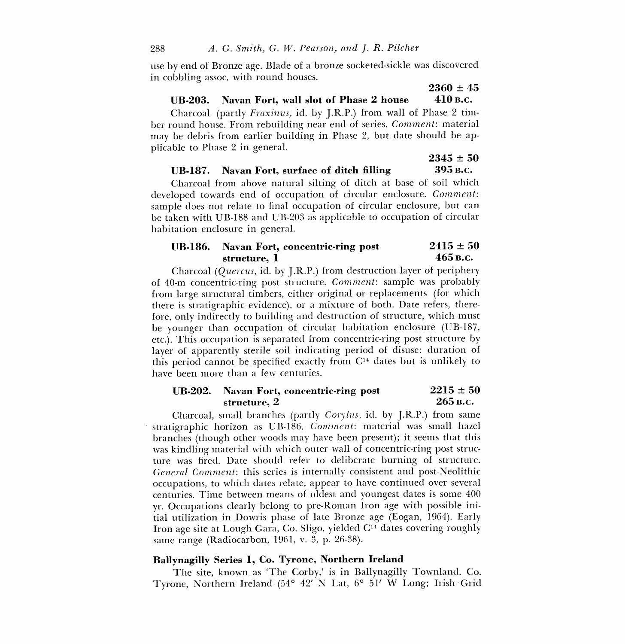use by end of Bronze age. Blade of a bronze socketed-sickle was discovered in cobbling assoc. with round houses.

# UB-203. Navan Fort, wall slot of Phase 2 house 410 B.C.

Charcoal (partly Fraxinus, id, by J.R.P.) from wall of Phase 2 timber round house. From rebuilding near end of series. Comment: material may be debris from earlier building in Phase 2, but date should be applicable to Phase 2 in general.

 $2345 \pm 50$ UB-187. Navan Fort, surface of ditch filling 395 B.C.

 $2360 \pm 45$ 

# Charcoal from above natural silting of ditch at base of soil which developed towards end of occupation of circular enclosure. Comment: sample does not relate to final occupation of circular enclosure, but can be taken with UB-188 and UB-203 as applicable to occupation of circular habitation enclosure in general.

# UB-186. Navan Fort, concentric-ring post  $2415 \pm 50$ <br>structure. 1  $465$  B.C. structure, 1

Charcoal (Quercus, id. by J.R.P.) from destruction layer of periphery of 40-m concentric-ring post structure. Comment: sample was probably from large structural timbers, either original or replacements (for which there is stratigraphic evidence), or a mixture of both. Date refers, therefore, only indirectly to building and destruction of structure, which must be younger than occupation of circular habitation enclosure (UB-187, etc.). This occupation is separated from concentric-ring post structure by layer of apparently sterile soil indicating period of disuse: duration of this period cannot be specified exactly from  $C<sup>14</sup>$  dates but is unlikely to have been more than a few centuries.

## UB-202. Navan Fort, concentric-ring post  $2215 \pm 50$ <br>structure. 2  $265$  B.C. structure, 2

Charcoal, small branches (partly Corylus, id. by J.R.P.) from same stratigraphic horizon as UB-186. Comment: material was small hazel branches (though other woods may have been present); it seems that this was kindling material with which outer wall of concentric-ring post structure was fired. Date should refer to deliberate burning of structure. General Comment: this series is internally consistent and post-Neolithic occupations, to which dates relate, appear to have continued over several centuries. Time between means of oldest and youngest dates is some 400 yr. Occupations clearly belong to pre-Roman Iron age with possible initial utilization in Dowris phase of late Bronze age (Eogan, 1964). Early Iron age site at Lough Gara, Co. Sligo, yielded  $C<sup>14</sup>$  dates covering roughly same range (Radiocarbon, 1961, v. 3, p. 26-38).

## Ballynagilly Series 1, Co. Tyrone, Northern Ireland

The site, known as `The Corby,' is in Ballynagilly Townland, Co. Tyrone, Northern Ireland (54° 42' N Lat, 6° 51' W Long; Irish Grid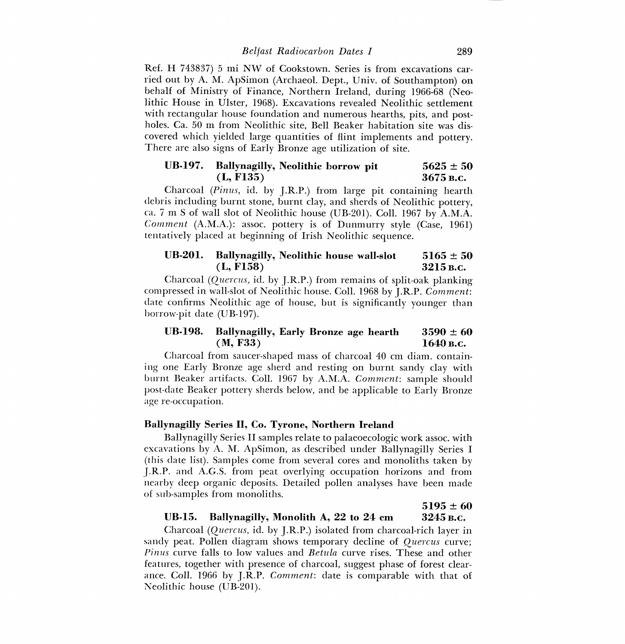Ref. H 743837) 5 mi NW of Cookstown. Series is from excavations carried out by A. M. ApSimon (Archaeol. Dept., Univ. of Southampton) on behalf of Ministry of Finance, Northern Ireland, during 1966-68 (Neolithic House in Ulster, 1968). Excavations revealed Neolithic settlement with rectangular house foundation and numerous hearths, pits, and postholes. Ca. 50 m from Neolithic site, Bell Beaker habitation site was discovered which yielded large quantities of flint implements and pottery. There are also signs of Early Bronze age utilization of site.

# UB-197. Ballynagilly, Neolithic borrow pit  $5625 \pm 50$ <br>(L, F135)  $3675$  B.c.  $(L, F135)$

Charcoal (Pinus, id. by J.R.P.) from large pit containing hearth debris including burnt stone, burnt clay, and sherds of Neolithic pottery, ca. 7 m S of wall slot of Neolithic house (UB-201). Coll. 1967 by A.M.A. Comment (A.M.A.): assoc. pottery is of Dunmurry style (Case, 1961) tentatively placed at beginning of Irish Neolithic sequence.

## UB-201. Ballynagilly, Neolithic house wall-slot  $5165 \pm 50$  $(L, F158)$  3215 B.C.

Charcoal (Quercus, id. by J.R.P.) from remains of split-oak planking compressed in wall-slot of Neolithic house. Coll. 1968 by J.R.P. Comment: date confirms Neolithic age of house, but is significantly younger than borrow-pit date (UB-197).

## UB-198. Ballynagilly, Early Bronze age hearth  $3590 \pm 60$  $(M, F33)$  1640 B.C.

Charcoal from saucer-shaped mass of charcoal 40 cm diam. containing one Early Bronze age sherd and resting on burnt sandy clay with burnt Beaker artifacts. Coll. 1967 by A.M.A. Comment: sample should post-date Beaker pottery sherds below, and be applicable to Early Bronze age re-occupation.

### Ballynagilly Series II, Co. Tyrone, Northern Ireland

Ballynagilly Series II samples relate to palaeoecologic work assoc. with excavations by A. M. ApSimon, as described under Ballynagilly Series I (this (late list). Samples come from several cores and monoliths taken by J.R.P. and A.G.S. from peat overlying occupation horizons and from nearby deep organic deposits. Detailed pollen analyses have been made of sub-samples from monoliths.

# $5195 \pm 60$

### UB-15. Ballynagilly, Monolith A, 22 to 24 cm 3245 B.C.

Charcoal (Quercus, id, by J.R.P.) isolated from charcoal-rich layer in sandy peat. Pollen diagram shows temporary decline of Quercus curve; Pinus curve falls to low values and *Betula* curve rises. These and other features, together with presence of charcoal, suggest phase of forest clearance. Coll. 1966 by J.R.P. Comment: date is comparable with that of Neolithic house (UB-201).